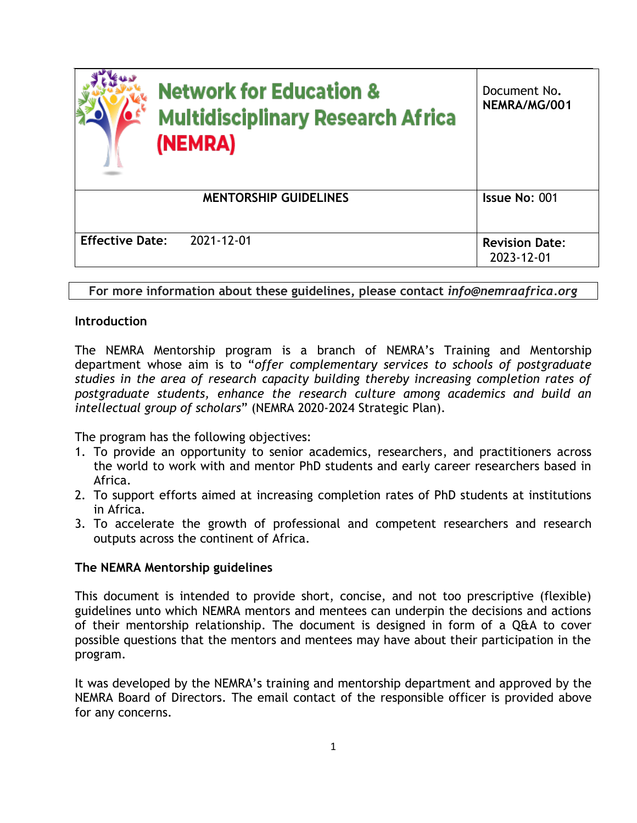| <b>Network for Education &amp;</b><br><b>Multidisciplinary Research Africa</b><br>(NEMRA) | Document No.<br>NEMRA/MG/001        |
|-------------------------------------------------------------------------------------------|-------------------------------------|
| <b>MENTORSHIP GUIDELINES</b>                                                              | Issue No: 001                       |
| <b>Effective Date:</b><br>2021-12-01                                                      | <b>Revision Date:</b><br>2023-12-01 |

**For more information about these guidelines, please contact** *info@nemraafrica.org*

## **Introduction**

The NEMRA Mentorship program is a branch of NEMRA's Training and Mentorship department whose aim is to "*offer complementary services to schools of postgraduate studies in the area of research capacity building thereby increasing completion rates of postgraduate students, enhance the research culture among academics and build an intellectual group of scholars*" (NEMRA 2020-2024 Strategic Plan).

The program has the following objectives:

- 1. To provide an opportunity to senior academics, researchers, and practitioners across the world to work with and mentor PhD students and early career researchers based in Africa.
- 2. To support efforts aimed at increasing completion rates of PhD students at institutions in Africa.
- 3. To accelerate the growth of professional and competent researchers and research outputs across the continent of Africa.

## **The NEMRA Mentorship guidelines**

This document is intended to provide short, concise, and not too prescriptive (flexible) guidelines unto which NEMRA mentors and mentees can underpin the decisions and actions of their mentorship relationship. The document is designed in form of a Q&A to cover possible questions that the mentors and mentees may have about their participation in the program.

It was developed by the NEMRA's training and mentorship department and approved by the NEMRA Board of Directors. The email contact of the responsible officer is provided above for any concerns.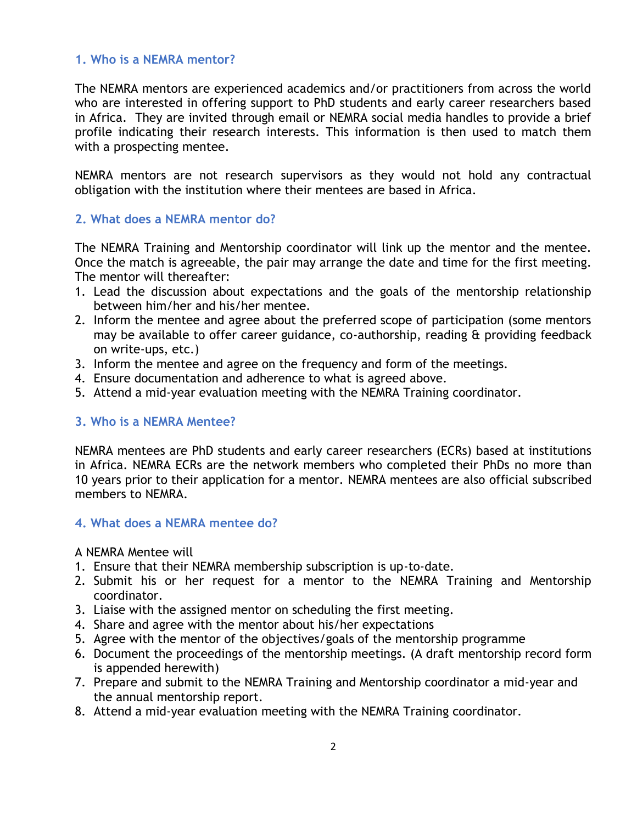## **1. Who is a NEMRA mentor?**

The NEMRA mentors are experienced academics and/or practitioners from across the world who are interested in offering support to PhD students and early career researchers based in Africa. They are invited through email or NEMRA social media handles to provide a brief profile indicating their research interests. This information is then used to match them with a prospecting mentee.

NEMRA mentors are not research supervisors as they would not hold any contractual obligation with the institution where their mentees are based in Africa.

### **2. What does a NEMRA mentor do?**

The NEMRA Training and Mentorship coordinator will link up the mentor and the mentee. Once the match is agreeable, the pair may arrange the date and time for the first meeting. The mentor will thereafter:

- 1. Lead the discussion about expectations and the goals of the mentorship relationship between him/her and his/her mentee.
- 2. Inform the mentee and agree about the preferred scope of participation (some mentors may be available to offer career guidance, co-authorship, reading & providing feedback on write-ups, etc.)
- 3. Inform the mentee and agree on the frequency and form of the meetings.
- 4. Ensure documentation and adherence to what is agreed above.
- 5. Attend a mid-year evaluation meeting with the NEMRA Training coordinator.

#### **3. Who is a NEMRA Mentee?**

NEMRA mentees are PhD students and early career researchers (ECRs) based at institutions in Africa. NEMRA ECRs are the network members who completed their PhDs no more than 10 years prior to their application for a mentor. NEMRA mentees are also official subscribed members to NEMRA.

#### **4. What does a NEMRA mentee do?**

A NEMRA Mentee will

- 1. Ensure that their NEMRA membership subscription is up-to-date.
- 2. Submit his or her request for a mentor to the NEMRA Training and Mentorship coordinator.
- 3. Liaise with the assigned mentor on scheduling the first meeting.
- 4. Share and agree with the mentor about his/her expectations
- 5. Agree with the mentor of the objectives/goals of the mentorship programme
- 6. Document the proceedings of the mentorship meetings. (A draft mentorship record form is appended herewith)
- 7. Prepare and submit to the NEMRA Training and Mentorship coordinator a mid-year and the annual mentorship report.
- 8. Attend a mid-year evaluation meeting with the NEMRA Training coordinator.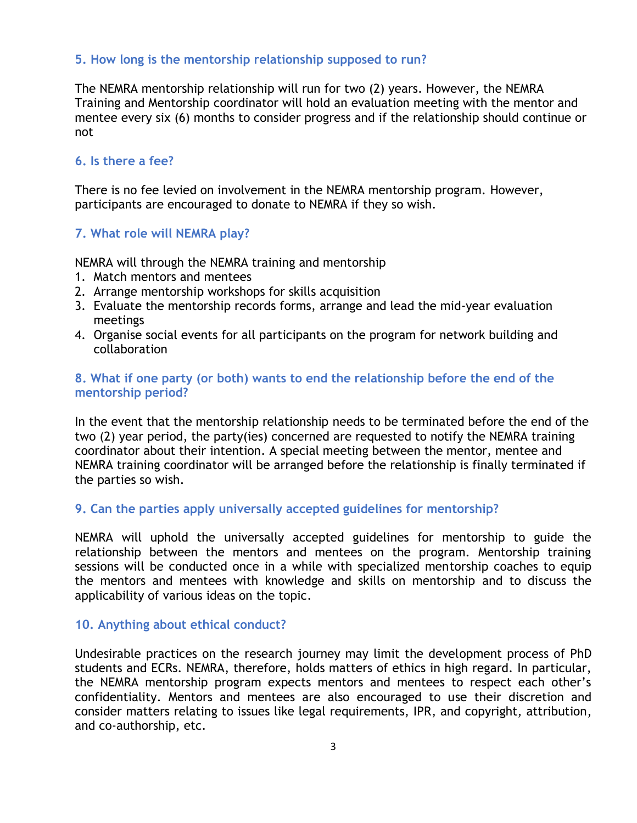# **5. How long is the mentorship relationship supposed to run?**

The NEMRA mentorship relationship will run for two (2) years. However, the NEMRA Training and Mentorship coordinator will hold an evaluation meeting with the mentor and mentee every six (6) months to consider progress and if the relationship should continue or not

## **6. Is there a fee?**

There is no fee levied on involvement in the NEMRA mentorship program. However, participants are encouraged to donate to NEMRA if they so wish.

## **7. What role will NEMRA play?**

NEMRA will through the NEMRA training and mentorship

- 1. Match mentors and mentees
- 2. Arrange mentorship workshops for skills acquisition
- 3. Evaluate the mentorship records forms, arrange and lead the mid-year evaluation meetings
- 4. Organise social events for all participants on the program for network building and collaboration

## **8. What if one party (or both) wants to end the relationship before the end of the mentorship period?**

In the event that the mentorship relationship needs to be terminated before the end of the two (2) year period, the party(ies) concerned are requested to notify the NEMRA training coordinator about their intention. A special meeting between the mentor, mentee and NEMRA training coordinator will be arranged before the relationship is finally terminated if the parties so wish.

#### **9. Can the parties apply universally accepted guidelines for mentorship?**

NEMRA will uphold the universally accepted guidelines for mentorship to guide the relationship between the mentors and mentees on the program. Mentorship training sessions will be conducted once in a while with specialized mentorship coaches to equip the mentors and mentees with knowledge and skills on mentorship and to discuss the applicability of various ideas on the topic.

#### **10. Anything about ethical conduct?**

Undesirable practices on the research journey may limit the development process of PhD students and ECRs. NEMRA, therefore, holds matters of ethics in high regard. In particular, the NEMRA mentorship program expects mentors and mentees to respect each other's confidentiality. Mentors and mentees are also encouraged to use their discretion and consider matters relating to issues like legal requirements, IPR, and copyright, attribution, and co-authorship, etc.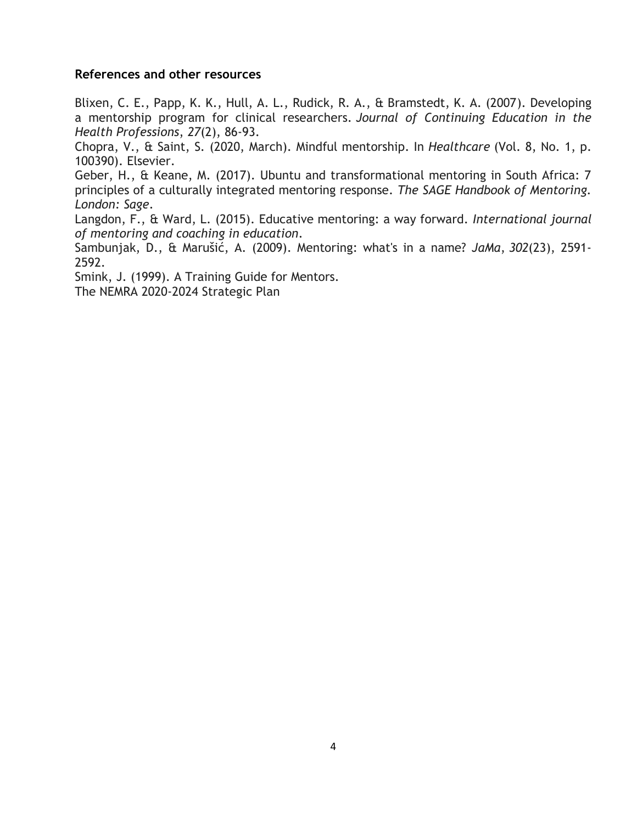#### **References and other resources**

Blixen, C. E., Papp, K. K., Hull, A. L., Rudick, R. A., & Bramstedt, K. A. (2007). Developing a mentorship program for clinical researchers. *Journal of Continuing Education in the Health Professions*, *27*(2), 86-93.

Chopra, V., & Saint, S. (2020, March). Mindful mentorship. In *Healthcare* (Vol. 8, No. 1, p. 100390). Elsevier.

Geber, H., & Keane, M. (2017). Ubuntu and transformational mentoring in South Africa: 7 principles of a culturally integrated mentoring response. *The SAGE Handbook of Mentoring. London: Sage*.

Langdon, F., & Ward, L. (2015). Educative mentoring: a way forward. *International journal of mentoring and coaching in education*.

Sambunjak, D., & Marušić, A. (2009). Mentoring: what's in a name? *JaMa*, *302*(23), 2591- 2592.

Smink, J. (1999). A Training Guide for Mentors.

The NEMRA 2020-2024 Strategic Plan